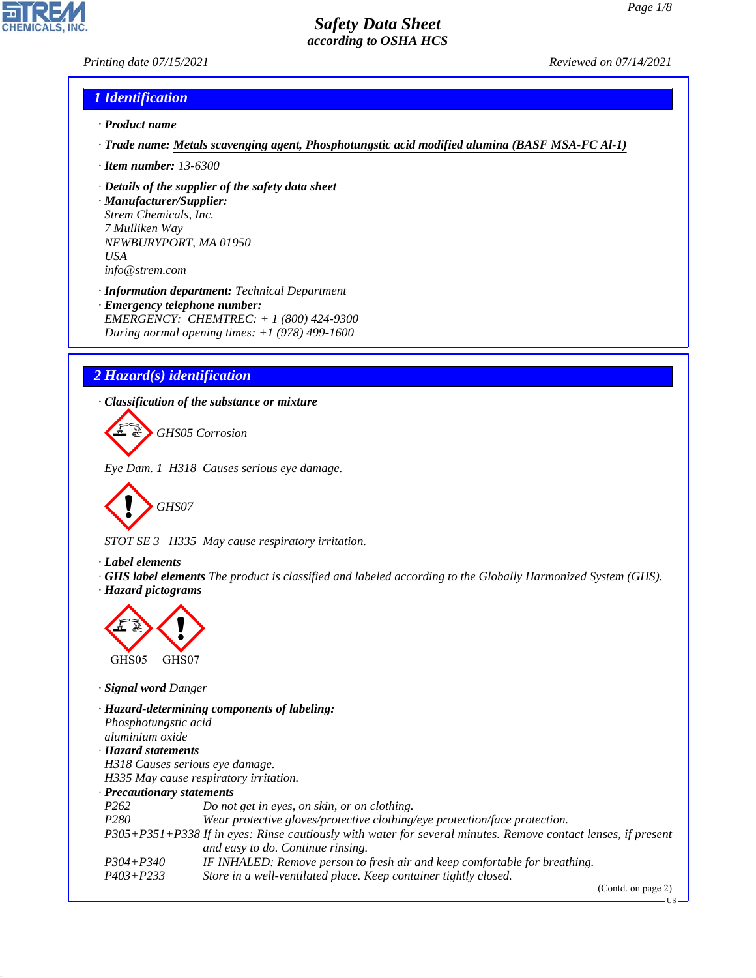# *Printing date 07/15/2021 Reviewed on 07/14/2021*

# *1 Identification*

- *· Product name*
- *· Trade name: Metals scavenging agent, Phosphotungstic acid modified alumina (BASF MSA-FC Al-1)*
- *· Item number: 13-6300*
- *· Details of the supplier of the safety data sheet*
- *· Manufacturer/Supplier: Strem Chemicals, Inc. 7 Mulliken Way NEWBURYPORT, MA 01950 USA info@strem.com*
- *· Information department: Technical Department · Emergency telephone number: EMERGENCY: CHEMTREC: + 1 (800) 424-9300 During normal opening times: +1 (978) 499-1600*

# *2 Hazard(s) identification*

*· Classification of the substance or mixture*

d~*GHS05 Corrosion*

*Eye Dam. 1 H318 Causes serious eye damage.*

d~*GHS07*

*STOT SE 3 H335 May cause respiratory irritation.*

# *· Label elements*

*· GHS label elements The product is classified and labeled according to the Globally Harmonized System (GHS). · Hazard pictograms*



*· Signal word Danger*

44.1.1

*· Hazard-determining components of labeling: Phosphotungstic acid aluminium oxide · Hazard statements H318 Causes serious eye damage. H335 May cause respiratory irritation. · Precautionary statements P262 Do not get in eyes, on skin, or on clothing. P280 Wear protective gloves/protective clothing/eye protection/face protection. P305+P351+P338 If in eyes: Rinse cautiously with water for several minutes. Remove contact lenses, if present and easy to do. Continue rinsing. P304+P340 IF INHALED: Remove person to fresh air and keep comfortable for breathing. P403+P233 Store in a well-ventilated place. Keep container tightly closed.*

(Contd. on page 2)

US

*Page 1/8*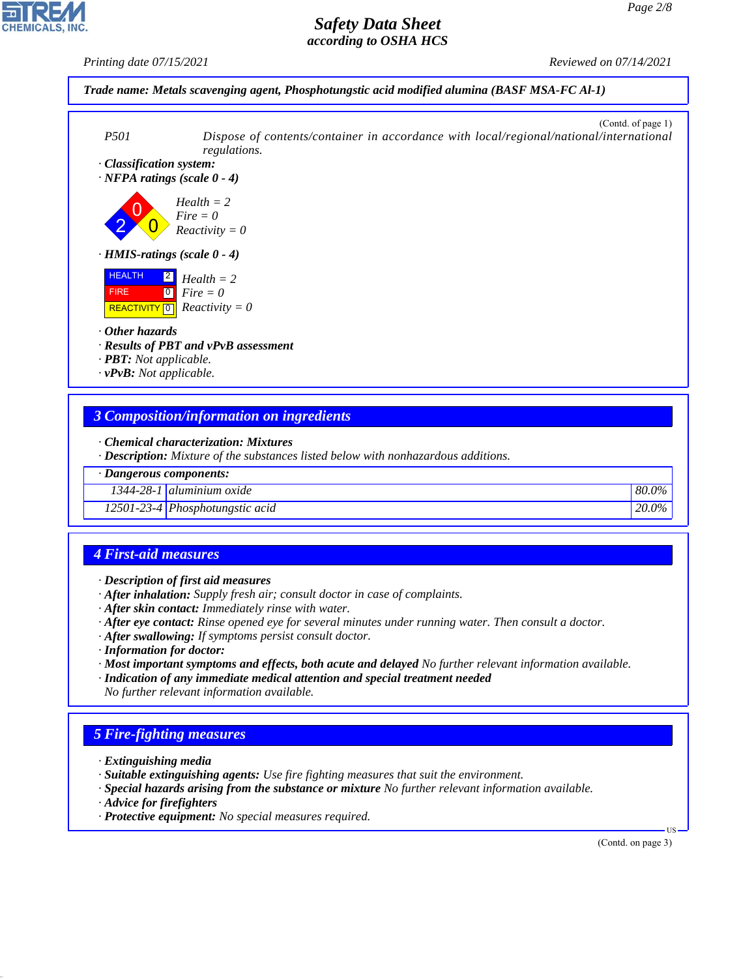*Printing date 07/15/2021 Reviewed on 07/14/2021*





- *· Chemical characterization: Mixtures*
- *· Description: Mixture of the substances listed below with nonhazardous additions.*

#### *· Dangerous components:*

*1344-28-1 aluminium oxide 80.0%*

*12501-23-4 Phosphotungstic acid 20.0%*

# *4 First-aid measures*

- *· Description of first aid measures*
- *· After inhalation: Supply fresh air; consult doctor in case of complaints.*
- *· After skin contact: Immediately rinse with water.*
- *· After eye contact: Rinse opened eye for several minutes under running water. Then consult a doctor.*
- *· After swallowing: If symptoms persist consult doctor.*
- *· Information for doctor:*
- *· Most important symptoms and effects, both acute and delayed No further relevant information available.*
- *· Indication of any immediate medical attention and special treatment needed No further relevant information available.*

# *5 Fire-fighting measures*

- *· Extinguishing media*
- *· Suitable extinguishing agents: Use fire fighting measures that suit the environment.*
- *· Special hazards arising from the substance or mixture No further relevant information available.*
- *· Advice for firefighters*

44.1.1

*· Protective equipment: No special measures required.*

(Contd. on page 3)

US

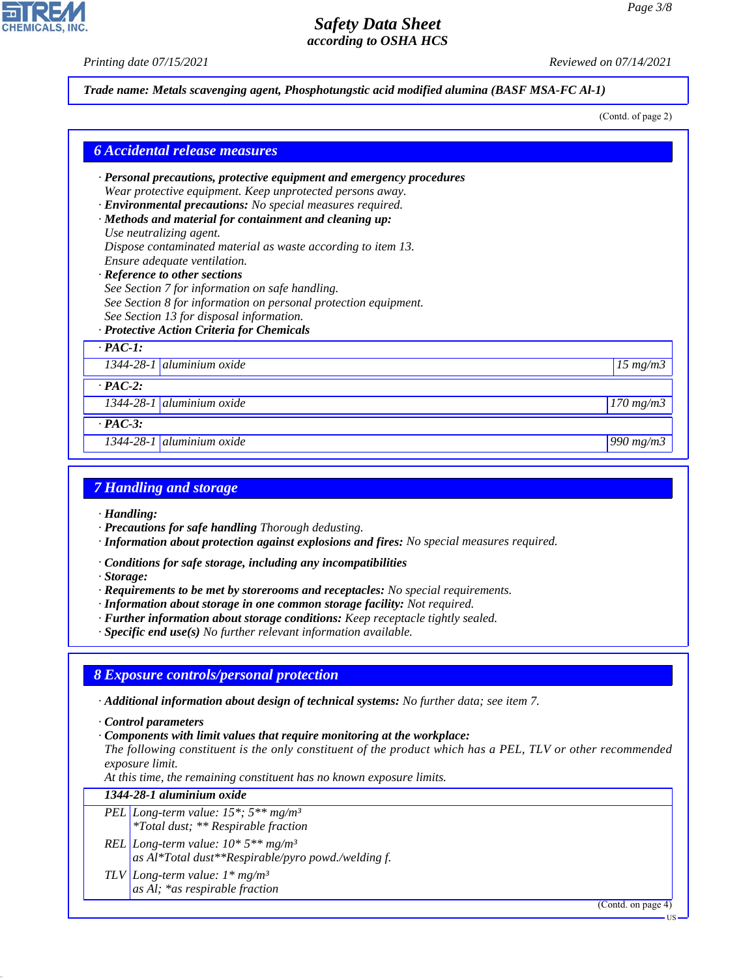*Printing date 07/15/2021 Reviewed on 07/14/2021*

**CHEMICALS, INC** 

#### *Trade name: Metals scavenging agent, Phosphotungstic acid modified alumina (BASF MSA-FC Al-1)*

(Contd. of page 2)

| · Personal precautions, protective equipment and emergency procedures |                      |
|-----------------------------------------------------------------------|----------------------|
| Wear protective equipment. Keep unprotected persons away.             |                      |
| · Environmental precautions: No special measures required.            |                      |
| · Methods and material for containment and cleaning up:               |                      |
| Use neutralizing agent.                                               |                      |
| Dispose contaminated material as waste according to item 13.          |                      |
| Ensure adequate ventilation.                                          |                      |
| · Reference to other sections                                         |                      |
| See Section 7 for information on safe handling.                       |                      |
| See Section 8 for information on personal protection equipment.       |                      |
| See Section 13 for disposal information.                              |                      |
| · Protective Action Criteria for Chemicals                            |                      |
| $\cdot$ PAC-1:                                                        |                      |
| 1344-28-1 aluminium oxide                                             | $15 \, mg/m3$        |
| $\cdot$ PAC-2:                                                        |                      |
| 1344-28-1 aluminium oxide                                             | $170 \text{ mg/m}$ 3 |
| $\cdot$ PAC-3:                                                        |                      |
|                                                                       |                      |

#### *7 Handling and storage*

- *· Handling:*
- *· Precautions for safe handling Thorough dedusting.*
- *· Information about protection against explosions and fires: No special measures required.*
- *· Conditions for safe storage, including any incompatibilities*
- *· Storage:*
- *· Requirements to be met by storerooms and receptacles: No special requirements.*
- *· Information about storage in one common storage facility: Not required.*
- *· Further information about storage conditions: Keep receptacle tightly sealed.*
- *· Specific end use(s) No further relevant information available.*

#### *8 Exposure controls/personal protection*

*· Additional information about design of technical systems: No further data; see item 7.*

*· Control parameters*

44.1.1

*· Components with limit values that require monitoring at the workplace:*

*The following constituent is the only constituent of the product which has a PEL, TLV or other recommended exposure limit.*

*At this time, the remaining constituent has no known exposure limits.*

*1344-28-1 aluminium oxide*

- *PEL Long-term value: 15\*; 5\*\* mg/m³ \*Total dust; \*\* Respirable fraction*
- *REL Long-term value: 10\* 5\*\* mg/m³ as Al\*Total dust\*\*Respirable/pyro powd./welding f.*
- *TLV Long-term value: 1\* mg/m³ as Al; \*as respirable fraction*

(Contd. on page 4)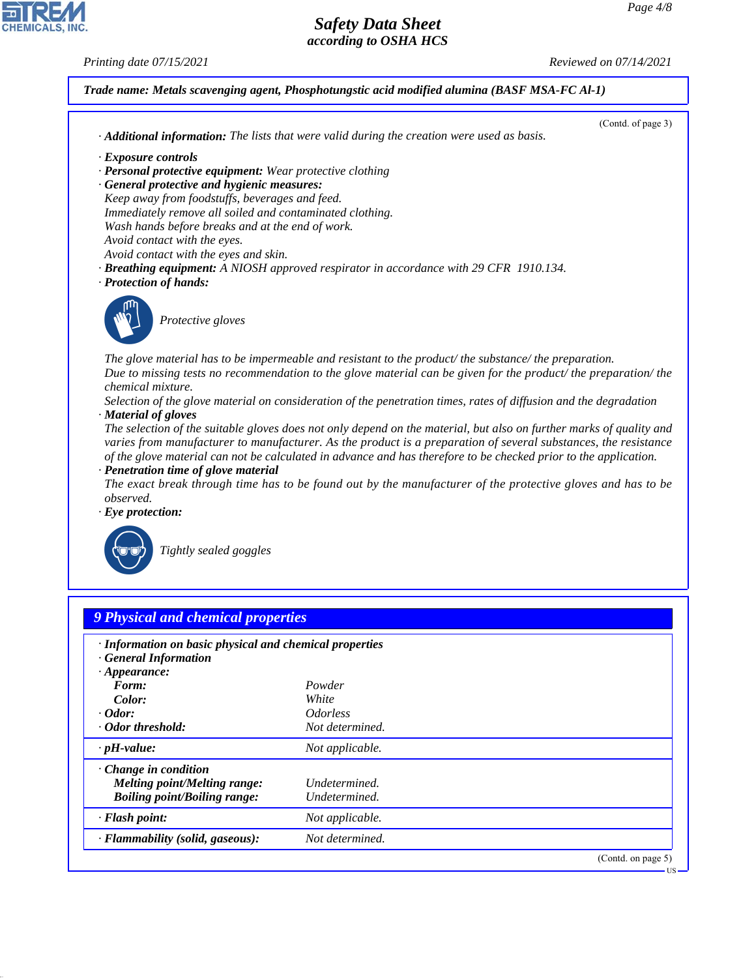US

# *Safety Data Sheet according to OSHA HCS*

*Printing date 07/15/2021 Reviewed on 07/14/2021*



|                                                                                                                                                                                                                                                                                                                                                            | (Contd. of page 3) |
|------------------------------------------------------------------------------------------------------------------------------------------------------------------------------------------------------------------------------------------------------------------------------------------------------------------------------------------------------------|--------------------|
| $\cdot$ <b>Additional information:</b> The lists that were valid during the creation were used as basis.                                                                                                                                                                                                                                                   |                    |
| · Exposure controls                                                                                                                                                                                                                                                                                                                                        |                    |
| · Personal protective equipment: Wear protective clothing                                                                                                                                                                                                                                                                                                  |                    |
| · General protective and hygienic measures:                                                                                                                                                                                                                                                                                                                |                    |
| Keep away from foodstuffs, beverages and feed.                                                                                                                                                                                                                                                                                                             |                    |
| Immediately remove all soiled and contaminated clothing.                                                                                                                                                                                                                                                                                                   |                    |
| Wash hands before breaks and at the end of work.                                                                                                                                                                                                                                                                                                           |                    |
| Avoid contact with the eyes.                                                                                                                                                                                                                                                                                                                               |                    |
| Avoid contact with the eyes and skin.                                                                                                                                                                                                                                                                                                                      |                    |
| <b>· Breathing equipment:</b> A NIOSH approved respirator in accordance with 29 CFR 1910.134.                                                                                                                                                                                                                                                              |                    |
| · Protection of hands:                                                                                                                                                                                                                                                                                                                                     |                    |
| The glove material has to be impermeable and resistant to the product/the substance/the preparation.<br>Due to missing tests no recommendation to the glove material can be given for the product/ the preparation/ the                                                                                                                                    |                    |
| <i>chemical mixture.</i>                                                                                                                                                                                                                                                                                                                                   |                    |
| Selection of the glove material on consideration of the penetration times, rates of diffusion and the degradation                                                                                                                                                                                                                                          |                    |
| · Material of gloves                                                                                                                                                                                                                                                                                                                                       |                    |
| The selection of the suitable gloves does not only depend on the material, but also on further marks of quality and<br>varies from manufacturer to manufacturer. As the product is a preparation of several substances, the resistance<br>of the glove material can not be calculated in advance and has therefore to be checked prior to the application. |                    |
| · Penetration time of glove material                                                                                                                                                                                                                                                                                                                       |                    |
| The exact break through time has to be found out by the manufacturer of the protective gloves and has to be                                                                                                                                                                                                                                                |                    |
| observed.                                                                                                                                                                                                                                                                                                                                                  |                    |
| $\cdot$ Eye protection:                                                                                                                                                                                                                                                                                                                                    |                    |
|                                                                                                                                                                                                                                                                                                                                                            |                    |
|                                                                                                                                                                                                                                                                                                                                                            |                    |
| Tightly sealed goggles                                                                                                                                                                                                                                                                                                                                     |                    |

| · Information on basic physical and chemical properties<br>· General Information |                               |  |
|----------------------------------------------------------------------------------|-------------------------------|--|
| $\cdot$ Appearance:<br>Form:                                                     | Powder                        |  |
| Color:                                                                           | White                         |  |
| $\cdot$ Odor:                                                                    | <i><u><b>Odorless</b></u></i> |  |
| · Odor threshold:                                                                | Not determined.               |  |
| $\cdot$ pH-value:                                                                | Not applicable.               |  |
| $\cdot$ Change in condition                                                      |                               |  |
| Melting point/Melting range:                                                     | Undetermined.                 |  |
| <b>Boiling point/Boiling range:</b>                                              | Undetermined.                 |  |
| · Flash point:                                                                   | Not applicable.               |  |
| · Flammability (solid, gaseous):                                                 | Not determined.               |  |



44.1.1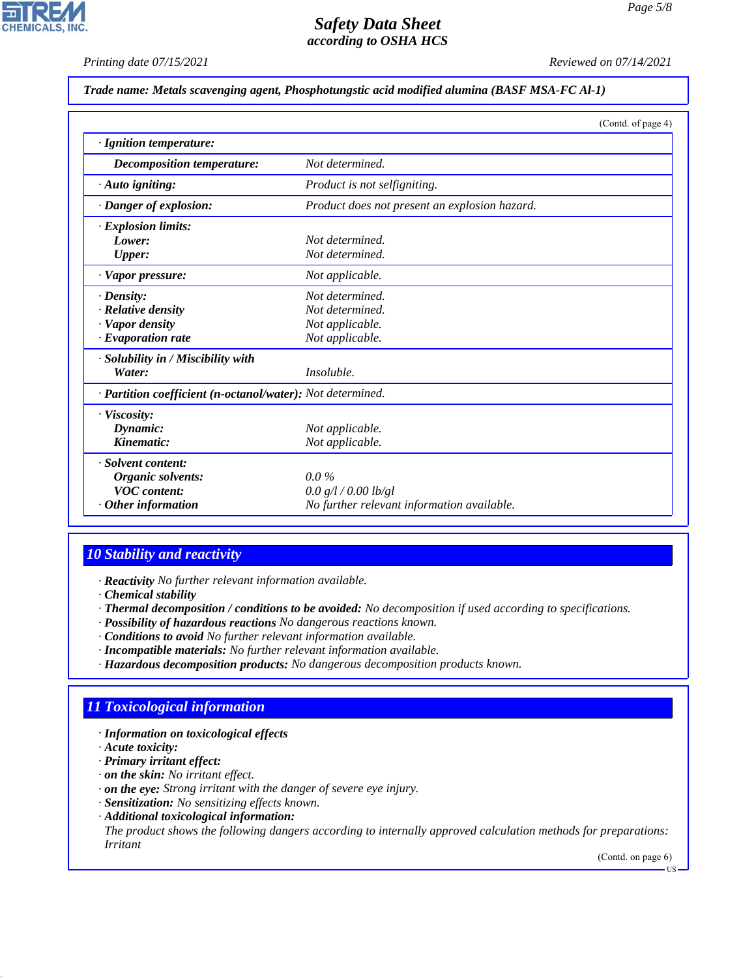# *Safety Data Sheet*

*according to OSHA HCS*

*Printing date 07/15/2021 Reviewed on 07/14/2021*

#### *Trade name: Metals scavenging agent, Phosphotungstic acid modified alumina (BASF MSA-FC Al-1)*

|                                                            | (Contd. of page 4)                            |
|------------------------------------------------------------|-----------------------------------------------|
| · Ignition temperature:                                    |                                               |
| Decomposition temperature:                                 | Not determined.                               |
| $\cdot$ Auto igniting:                                     | Product is not selfigniting.                  |
| · Danger of explosion:                                     | Product does not present an explosion hazard. |
| · Explosion limits:                                        |                                               |
| Lower:                                                     | Not determined.                               |
| <b>Upper:</b>                                              | Not determined.                               |
| $\cdot$ Vapor pressure:                                    | Not applicable.                               |
| $\cdot$ Density:                                           | Not determined.                               |
| $\cdot$ Relative density                                   | Not determined.                               |
| · Vapor density                                            | Not applicable.                               |
| $\cdot$ Evaporation rate                                   | Not applicable.                               |
| $\cdot$ Solubility in / Miscibility with                   |                                               |
| Water:                                                     | Insoluble.                                    |
| · Partition coefficient (n-octanol/water): Not determined. |                                               |
| · Viscosity:                                               |                                               |
| Dynamic:                                                   | Not applicable.                               |
| Kinematic:                                                 | Not applicable.                               |
| · Solvent content:                                         |                                               |
| Organic solvents:                                          | $0.0\%$                                       |
| <b>VOC</b> content:                                        | 0.0 g/l / 0.00 lb/gl                          |
| $\cdot$ Other information                                  | No further relevant information available.    |

# *10 Stability and reactivity*

*· Reactivity No further relevant information available.*

*· Chemical stability*

- *· Thermal decomposition / conditions to be avoided: No decomposition if used according to specifications.*
- *· Possibility of hazardous reactions No dangerous reactions known.*
- *· Conditions to avoid No further relevant information available.*
- *· Incompatible materials: No further relevant information available.*
- *· Hazardous decomposition products: No dangerous decomposition products known.*

# *11 Toxicological information*

#### *· Information on toxicological effects*

*· Acute toxicity:*

44.1.1

- *· Primary irritant effect:*
- *· on the skin: No irritant effect.*
- *· on the eye: Strong irritant with the danger of severe eye injury.*
- *· Sensitization: No sensitizing effects known.*
- *· Additional toxicological information:*

*The product shows the following dangers according to internally approved calculation methods for preparations: Irritant*

(Contd. on page 6)

US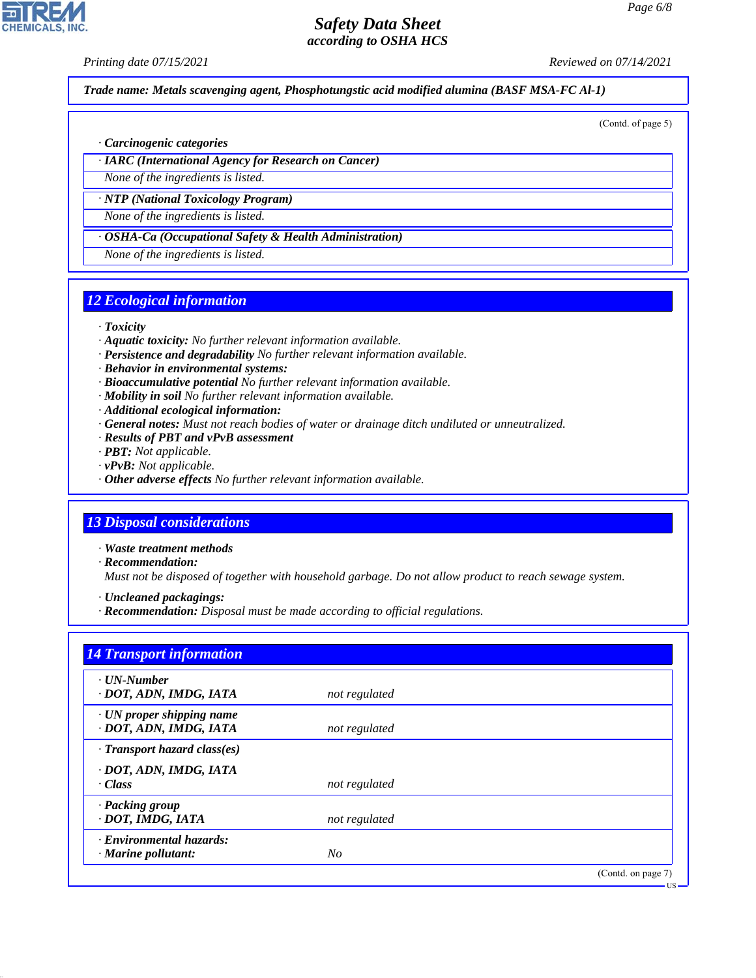*Printing date 07/15/2021 Reviewed on 07/14/2021*

*Trade name: Metals scavenging agent, Phosphotungstic acid modified alumina (BASF MSA-FC Al-1)*

(Contd. of page 5)

#### *· Carcinogenic categories*

*· IARC (International Agency for Research on Cancer)*

*None of the ingredients is listed.*

*· NTP (National Toxicology Program)*

*None of the ingredients is listed.*

*· OSHA-Ca (Occupational Safety & Health Administration)*

*None of the ingredients is listed.*

#### *12 Ecological information*

#### *· Toxicity*

- *· Aquatic toxicity: No further relevant information available.*
- *· Persistence and degradability No further relevant information available.*
- *· Behavior in environmental systems:*
- *· Bioaccumulative potential No further relevant information available.*
- *· Mobility in soil No further relevant information available.*
- *· Additional ecological information:*
- *· General notes: Must not reach bodies of water or drainage ditch undiluted or unneutralized.*
- *· Results of PBT and vPvB assessment*
- *· PBT: Not applicable.*
- *· vPvB: Not applicable.*
- *· Other adverse effects No further relevant information available.*

#### *13 Disposal considerations*

- *· Waste treatment methods*
- *· Recommendation:*

44.1.1

*Must not be disposed of together with household garbage. Do not allow product to reach sewage system.*

*· Uncleaned packagings:*

*· Recommendation: Disposal must be made according to official regulations.*

| $\cdot$ UN-Number                  |               |  |
|------------------------------------|---------------|--|
| · DOT, ADN, IMDG, IATA             | not regulated |  |
| $\cdot$ UN proper shipping name    |               |  |
| · DOT, ADN, IMDG, IATA             | not regulated |  |
| $\cdot$ Transport hazard class(es) |               |  |
| · DOT, ADN, IMDG, IATA             |               |  |
| · Class                            | not regulated |  |
| · Packing group                    |               |  |
| · DOT, IMDG, IATA                  | not regulated |  |
| · Environmental hazards:           |               |  |
| $\cdot$ Marine pollutant:          | No            |  |

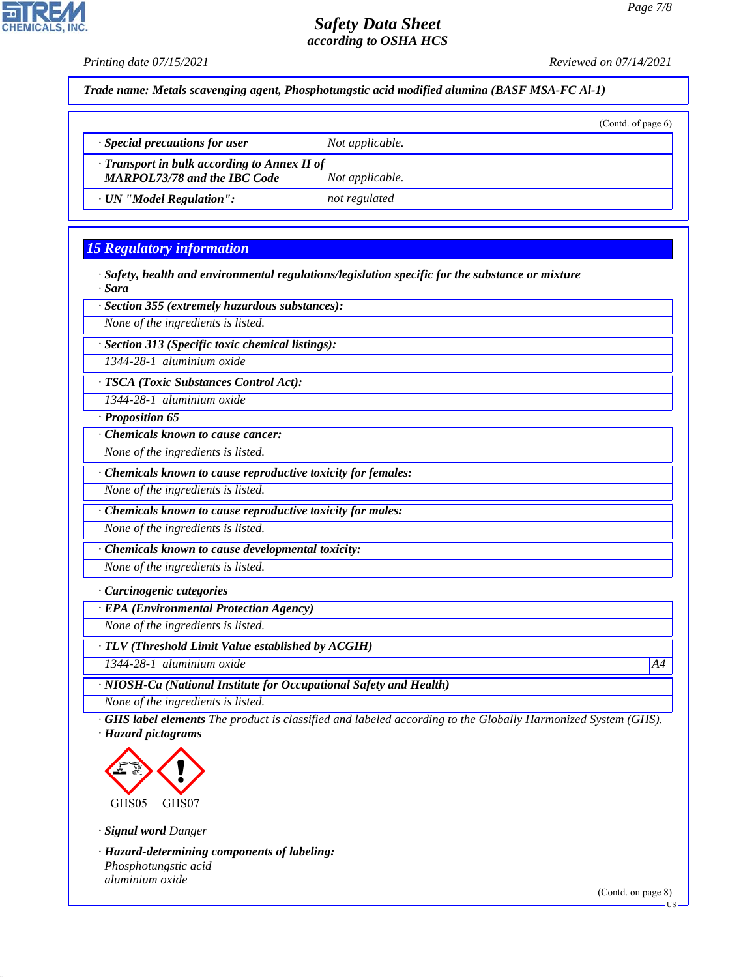

*· TLV (Threshold Limit Value established by ACGIH)*

*1344-28-1 aluminium oxide A4*

*· NIOSH-Ca (National Institute for Occupational Safety and Health)*

*None of the ingredients is listed.*

*· GHS label elements The product is classified and labeled according to the Globally Harmonized System (GHS). · Hazard pictograms*



*· Signal word Danger*

44.1.1

**CHEMICALS.** 

*· Hazard-determining components of labeling: Phosphotungstic acid aluminium oxide*

(Contd. on page 8)

US